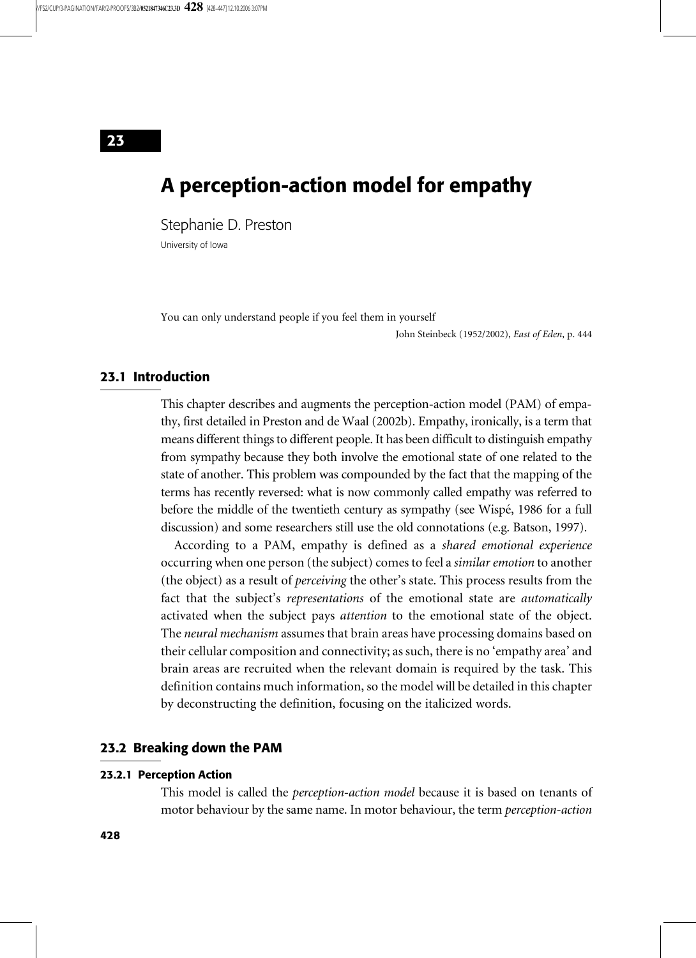# 23

# A perception-action model for empathy

Stephanie D. Preston University of Iowa

You can only understand people if you feel them in yourself John Steinbeck (1952/2002), East of Eden, p. 444

# 23.1 Introduction

This chapter describes and augments the perception-action model (PAM) of empathy, first detailed in Preston and de Waal (2002b). Empathy, ironically, is a term that means different things to different people. It has been difficult to distinguish empathy from sympathy because they both involve the emotional state of one related to the state of another. This problem was compounded by the fact that the mapping of the terms has recently reversed: what is now commonly called empathy was referred to before the middle of the twentieth century as sympathy (see Wispé, 1986 for a full discussion) and some researchers still use the old connotations (e.g. Batson, 1997).

According to a PAM, empathy is defined as a shared emotional experience occurring when one person (the subject) comes to feel a similar emotion to another (the object) as a result of perceiving the other's state. This process results from the fact that the subject's representations of the emotional state are automatically activated when the subject pays attention to the emotional state of the object. The neural mechanism assumes that brain areas have processing domains based on their cellular composition and connectivity; as such, there is no 'empathy area' and brain areas are recruited when the relevant domain is required by the task. This definition contains much information, so the model will be detailed in this chapter by deconstructing the definition, focusing on the italicized words.

# 23.2 Breaking down the PAM

#### 23.2.1 Perception Action

This model is called the perception-action model because it is based on tenants of motor behaviour by the same name. In motor behaviour, the term perception-action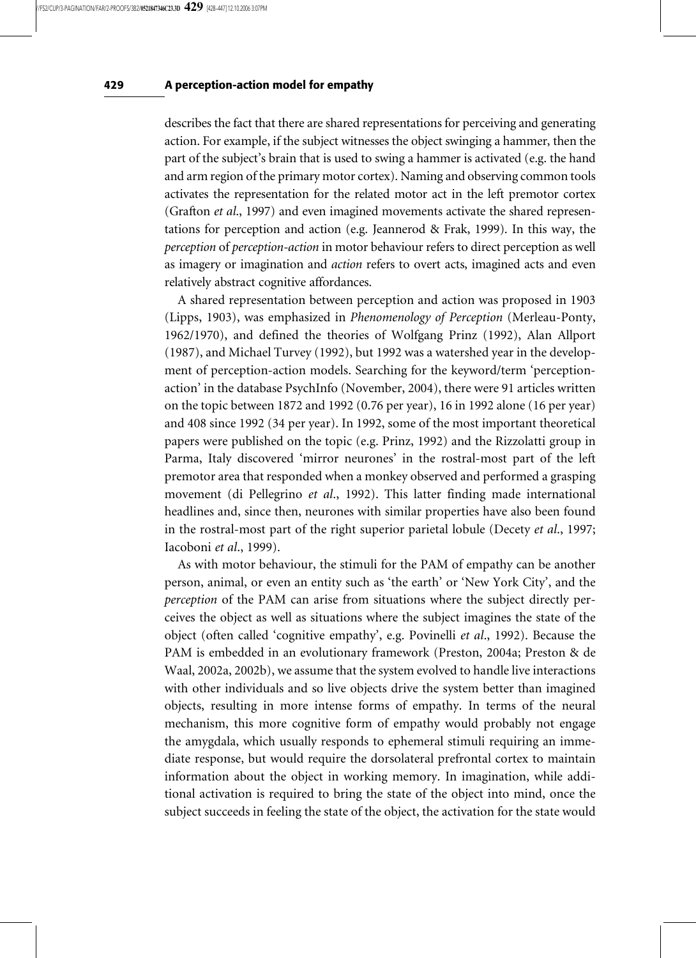describes the fact that there are shared representations for perceiving and generating action. For example, if the subject witnesses the object swinging a hammer, then the part of the subject's brain that is used to swing a hammer is activated (e.g. the hand and arm region of the primary motor cortex). Naming and observing common tools activates the representation for the related motor act in the left premotor cortex (Grafton *et al.*, 1997) and even imagined movements activate the shared representations for perception and action (e.g. Jeannerod & Frak, 1999). In this way, the perception of perception-action in motor behaviour refers to direct perception as well as imagery or imagination and *action* refers to overt acts, imagined acts and even relatively abstract cognitive affordances.

A shared representation between perception and action was proposed in 1903 (Lipps, 1903), was emphasized in Phenomenology of Perception (Merleau-Ponty, 1962/1970), and defined the theories of Wolfgang Prinz (1992), Alan Allport (1987), and Michael Turvey (1992), but 1992 was a watershed year in the development of perception-action models. Searching for the keyword/term 'perceptionaction' in the database PsychInfo (November, 2004), there were 91 articles written on the topic between 1872 and 1992 (0.76 per year), 16 in 1992 alone (16 per year) and 408 since 1992 (34 per year). In 1992, some of the most important theoretical papers were published on the topic (e.g. Prinz, 1992) and the Rizzolatti group in Parma, Italy discovered 'mirror neurones' in the rostral-most part of the left premotor area that responded when a monkey observed and performed a grasping movement (di Pellegrino et al., 1992). This latter finding made international headlines and, since then, neurones with similar properties have also been found in the rostral-most part of the right superior parietal lobule (Decety et al., 1997; Iacoboni et al., 1999).

As with motor behaviour, the stimuli for the PAM of empathy can be another person, animal, or even an entity such as 'the earth' or 'New York City', and the perception of the PAM can arise from situations where the subject directly perceives the object as well as situations where the subject imagines the state of the object (often called 'cognitive empathy', e.g. Povinelli et al., 1992). Because the PAM is embedded in an evolutionary framework (Preston, 2004a; Preston & de Waal, 2002a, 2002b), we assume that the system evolved to handle live interactions with other individuals and so live objects drive the system better than imagined objects, resulting in more intense forms of empathy. In terms of the neural mechanism, this more cognitive form of empathy would probably not engage the amygdala, which usually responds to ephemeral stimuli requiring an immediate response, but would require the dorsolateral prefrontal cortex to maintain information about the object in working memory. In imagination, while additional activation is required to bring the state of the object into mind, once the subject succeeds in feeling the state of the object, the activation for the state would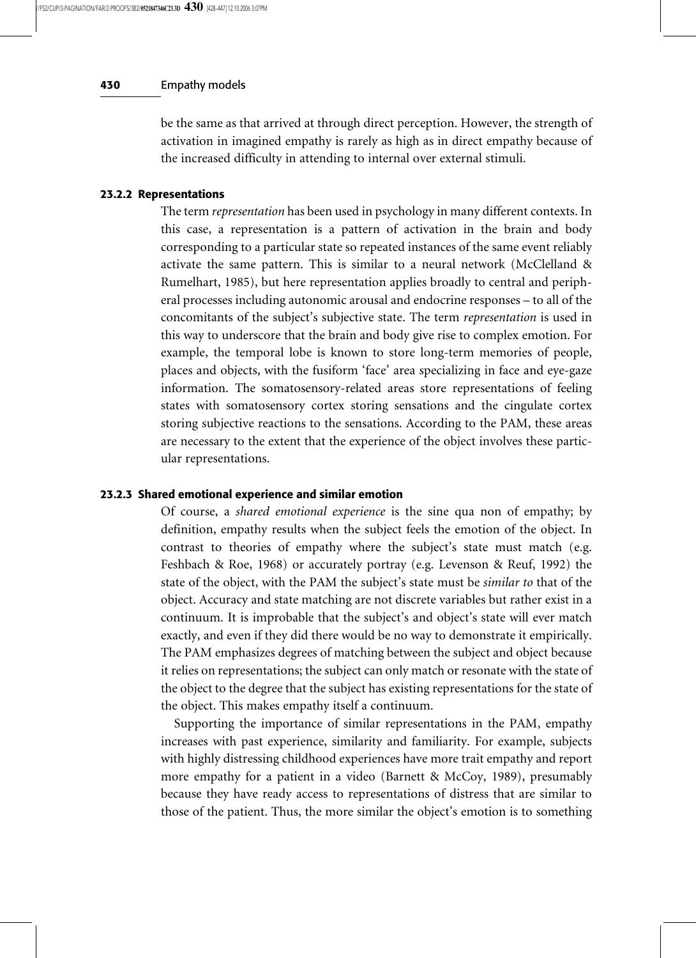be the same as that arrived at through direct perception. However, the strength of activation in imagined empathy is rarely as high as in direct empathy because of the increased difficulty in attending to internal over external stimuli.

# 23.2.2 Representations

The term representation has been used in psychology in many different contexts. In this case, a representation is a pattern of activation in the brain and body corresponding to a particular state so repeated instances of the same event reliably activate the same pattern. This is similar to a neural network (McClelland & Rumelhart, 1985), but here representation applies broadly to central and peripheral processes including autonomic arousal and endocrine responses – to all of the concomitants of the subject's subjective state. The term representation is used in this way to underscore that the brain and body give rise to complex emotion. For example, the temporal lobe is known to store long-term memories of people, places and objects, with the fusiform 'face' area specializing in face and eye-gaze information. The somatosensory-related areas store representations of feeling states with somatosensory cortex storing sensations and the cingulate cortex storing subjective reactions to the sensations. According to the PAM, these areas are necessary to the extent that the experience of the object involves these particular representations.

## 23.2.3 Shared emotional experience and similar emotion

Of course, a shared emotional experience is the sine qua non of empathy; by definition, empathy results when the subject feels the emotion of the object. In contrast to theories of empathy where the subject's state must match (e.g. Feshbach & Roe, 1968) or accurately portray (e.g. Levenson & Reuf, 1992) the state of the object, with the PAM the subject's state must be similar to that of the object. Accuracy and state matching are not discrete variables but rather exist in a continuum. It is improbable that the subject's and object's state will ever match exactly, and even if they did there would be no way to demonstrate it empirically. The PAM emphasizes degrees of matching between the subject and object because it relies on representations; the subject can only match or resonate with the state of the object to the degree that the subject has existing representations for the state of the object. This makes empathy itself a continuum.

Supporting the importance of similar representations in the PAM, empathy increases with past experience, similarity and familiarity. For example, subjects with highly distressing childhood experiences have more trait empathy and report more empathy for a patient in a video (Barnett & McCoy, 1989), presumably because they have ready access to representations of distress that are similar to those of the patient. Thus, the more similar the object's emotion is to something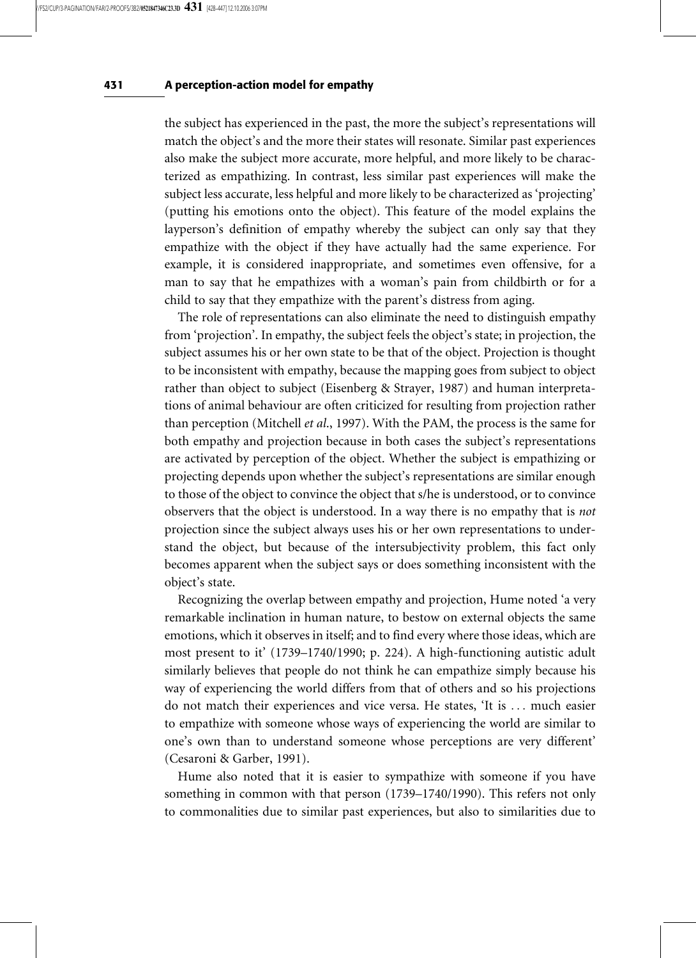the subject has experienced in the past, the more the subject's representations will match the object's and the more their states will resonate. Similar past experiences also make the subject more accurate, more helpful, and more likely to be characterized as empathizing. In contrast, less similar past experiences will make the subject less accurate, less helpful and more likely to be characterized as 'projecting' (putting his emotions onto the object). This feature of the model explains the layperson's definition of empathy whereby the subject can only say that they empathize with the object if they have actually had the same experience. For example, it is considered inappropriate, and sometimes even offensive, for a man to say that he empathizes with a woman's pain from childbirth or for a child to say that they empathize with the parent's distress from aging.

The role of representations can also eliminate the need to distinguish empathy from 'projection'. In empathy, the subject feels the object's state; in projection, the subject assumes his or her own state to be that of the object. Projection is thought to be inconsistent with empathy, because the mapping goes from subject to object rather than object to subject (Eisenberg & Strayer, 1987) and human interpretations of animal behaviour are often criticized for resulting from projection rather than perception (Mitchell et al., 1997). With the PAM, the process is the same for both empathy and projection because in both cases the subject's representations are activated by perception of the object. Whether the subject is empathizing or projecting depends upon whether the subject's representations are similar enough to those of the object to convince the object that s/he is understood, or to convince observers that the object is understood. In a way there is no empathy that is not projection since the subject always uses his or her own representations to understand the object, but because of the intersubjectivity problem, this fact only becomes apparent when the subject says or does something inconsistent with the object's state.

Recognizing the overlap between empathy and projection, Hume noted 'a very remarkable inclination in human nature, to bestow on external objects the same emotions, which it observes in itself; and to find every where those ideas, which are most present to it' (1739–1740/1990; p. 224). A high-functioning autistic adult similarly believes that people do not think he can empathize simply because his way of experiencing the world differs from that of others and so his projections do not match their experiences and vice versa. He states, 'It is . . . much easier to empathize with someone whose ways of experiencing the world are similar to one's own than to understand someone whose perceptions are very different' (Cesaroni & Garber, 1991).

Hume also noted that it is easier to sympathize with someone if you have something in common with that person (1739–1740/1990). This refers not only to commonalities due to similar past experiences, but also to similarities due to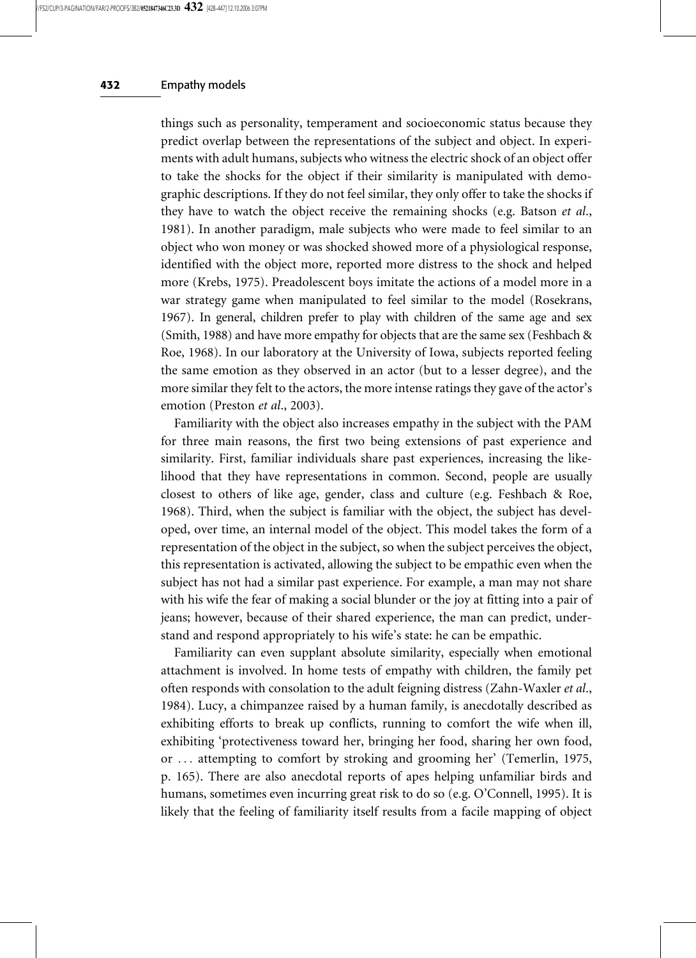things such as personality, temperament and socioeconomic status because they predict overlap between the representations of the subject and object. In experiments with adult humans, subjects who witness the electric shock of an object offer to take the shocks for the object if their similarity is manipulated with demographic descriptions. If they do not feel similar, they only offer to take the shocks if they have to watch the object receive the remaining shocks (e.g. Batson et al., 1981). In another paradigm, male subjects who were made to feel similar to an object who won money or was shocked showed more of a physiological response, identified with the object more, reported more distress to the shock and helped more (Krebs, 1975). Preadolescent boys imitate the actions of a model more in a war strategy game when manipulated to feel similar to the model (Rosekrans, 1967). In general, children prefer to play with children of the same age and sex (Smith, 1988) and have more empathy for objects that are the same sex (Feshbach & Roe, 1968). In our laboratory at the University of Iowa, subjects reported feeling the same emotion as they observed in an actor (but to a lesser degree), and the more similar they felt to the actors, the more intense ratings they gave of the actor's emotion (Preston et al., 2003).

Familiarity with the object also increases empathy in the subject with the PAM for three main reasons, the first two being extensions of past experience and similarity. First, familiar individuals share past experiences, increasing the likelihood that they have representations in common. Second, people are usually closest to others of like age, gender, class and culture (e.g. Feshbach & Roe, 1968). Third, when the subject is familiar with the object, the subject has developed, over time, an internal model of the object. This model takes the form of a representation of the object in the subject, so when the subject perceives the object, this representation is activated, allowing the subject to be empathic even when the subject has not had a similar past experience. For example, a man may not share with his wife the fear of making a social blunder or the joy at fitting into a pair of jeans; however, because of their shared experience, the man can predict, understand and respond appropriately to his wife's state: he can be empathic.

Familiarity can even supplant absolute similarity, especially when emotional attachment is involved. In home tests of empathy with children, the family pet often responds with consolation to the adult feigning distress (Zahn-Waxler et al., 1984). Lucy, a chimpanzee raised by a human family, is anecdotally described as exhibiting efforts to break up conflicts, running to comfort the wife when ill, exhibiting 'protectiveness toward her, bringing her food, sharing her own food, or . . . attempting to comfort by stroking and grooming her' (Temerlin, 1975, p. 165). There are also anecdotal reports of apes helping unfamiliar birds and humans, sometimes even incurring great risk to do so (e.g. O'Connell, 1995). It is likely that the feeling of familiarity itself results from a facile mapping of object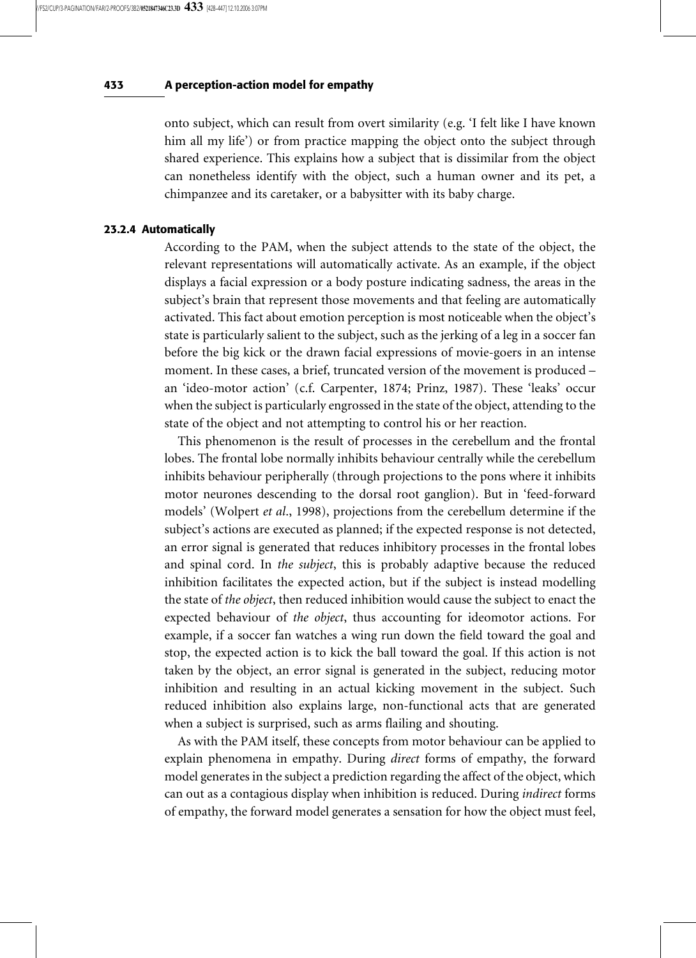onto subject, which can result from overt similarity (e.g. 'I felt like I have known him all my life') or from practice mapping the object onto the subject through shared experience. This explains how a subject that is dissimilar from the object can nonetheless identify with the object, such a human owner and its pet, a chimpanzee and its caretaker, or a babysitter with its baby charge.

#### 23.2.4 Automatically

According to the PAM, when the subject attends to the state of the object, the relevant representations will automatically activate. As an example, if the object displays a facial expression or a body posture indicating sadness, the areas in the subject's brain that represent those movements and that feeling are automatically activated. This fact about emotion perception is most noticeable when the object's state is particularly salient to the subject, such as the jerking of a leg in a soccer fan before the big kick or the drawn facial expressions of movie-goers in an intense moment. In these cases, a brief, truncated version of the movement is produced – an 'ideo-motor action' (c.f. Carpenter, 1874; Prinz, 1987). These 'leaks' occur when the subject is particularly engrossed in the state of the object, attending to the state of the object and not attempting to control his or her reaction.

This phenomenon is the result of processes in the cerebellum and the frontal lobes. The frontal lobe normally inhibits behaviour centrally while the cerebellum inhibits behaviour peripherally (through projections to the pons where it inhibits motor neurones descending to the dorsal root ganglion). But in 'feed-forward models' (Wolpert et al., 1998), projections from the cerebellum determine if the subject's actions are executed as planned; if the expected response is not detected, an error signal is generated that reduces inhibitory processes in the frontal lobes and spinal cord. In the subject, this is probably adaptive because the reduced inhibition facilitates the expected action, but if the subject is instead modelling the state of the object, then reduced inhibition would cause the subject to enact the expected behaviour of the object, thus accounting for ideomotor actions. For example, if a soccer fan watches a wing run down the field toward the goal and stop, the expected action is to kick the ball toward the goal. If this action is not taken by the object, an error signal is generated in the subject, reducing motor inhibition and resulting in an actual kicking movement in the subject. Such reduced inhibition also explains large, non-functional acts that are generated when a subject is surprised, such as arms flailing and shouting.

As with the PAM itself, these concepts from motor behaviour can be applied to explain phenomena in empathy. During *direct* forms of empathy, the forward model generates in the subject a prediction regarding the affect of the object, which can out as a contagious display when inhibition is reduced. During indirect forms of empathy, the forward model generates a sensation for how the object must feel,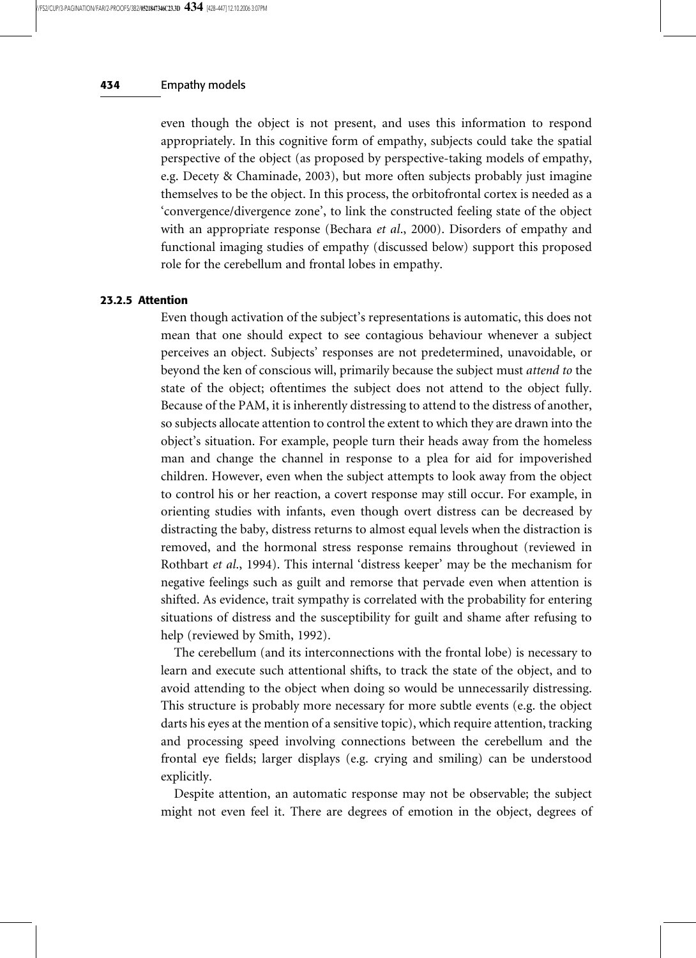even though the object is not present, and uses this information to respond appropriately. In this cognitive form of empathy, subjects could take the spatial perspective of the object (as proposed by perspective-taking models of empathy, e.g. Decety & Chaminade, 2003), but more often subjects probably just imagine themselves to be the object. In this process, the orbitofrontal cortex is needed as a 'convergence/divergence zone', to link the constructed feeling state of the object with an appropriate response (Bechara et al., 2000). Disorders of empathy and functional imaging studies of empathy (discussed below) support this proposed role for the cerebellum and frontal lobes in empathy.

#### 23.2.5 Attention

Even though activation of the subject's representations is automatic, this does not mean that one should expect to see contagious behaviour whenever a subject perceives an object. Subjects' responses are not predetermined, unavoidable, or beyond the ken of conscious will, primarily because the subject must attend to the state of the object; oftentimes the subject does not attend to the object fully. Because of the PAM, it is inherently distressing to attend to the distress of another, so subjects allocate attention to control the extent to which they are drawn into the object's situation. For example, people turn their heads away from the homeless man and change the channel in response to a plea for aid for impoverished children. However, even when the subject attempts to look away from the object to control his or her reaction, a covert response may still occur. For example, in orienting studies with infants, even though overt distress can be decreased by distracting the baby, distress returns to almost equal levels when the distraction is removed, and the hormonal stress response remains throughout (reviewed in Rothbart et al., 1994). This internal 'distress keeper' may be the mechanism for negative feelings such as guilt and remorse that pervade even when attention is shifted. As evidence, trait sympathy is correlated with the probability for entering situations of distress and the susceptibility for guilt and shame after refusing to help (reviewed by Smith, 1992).

The cerebellum (and its interconnections with the frontal lobe) is necessary to learn and execute such attentional shifts, to track the state of the object, and to avoid attending to the object when doing so would be unnecessarily distressing. This structure is probably more necessary for more subtle events (e.g. the object darts his eyes at the mention of a sensitive topic), which require attention, tracking and processing speed involving connections between the cerebellum and the frontal eye fields; larger displays (e.g. crying and smiling) can be understood explicitly.

Despite attention, an automatic response may not be observable; the subject might not even feel it. There are degrees of emotion in the object, degrees of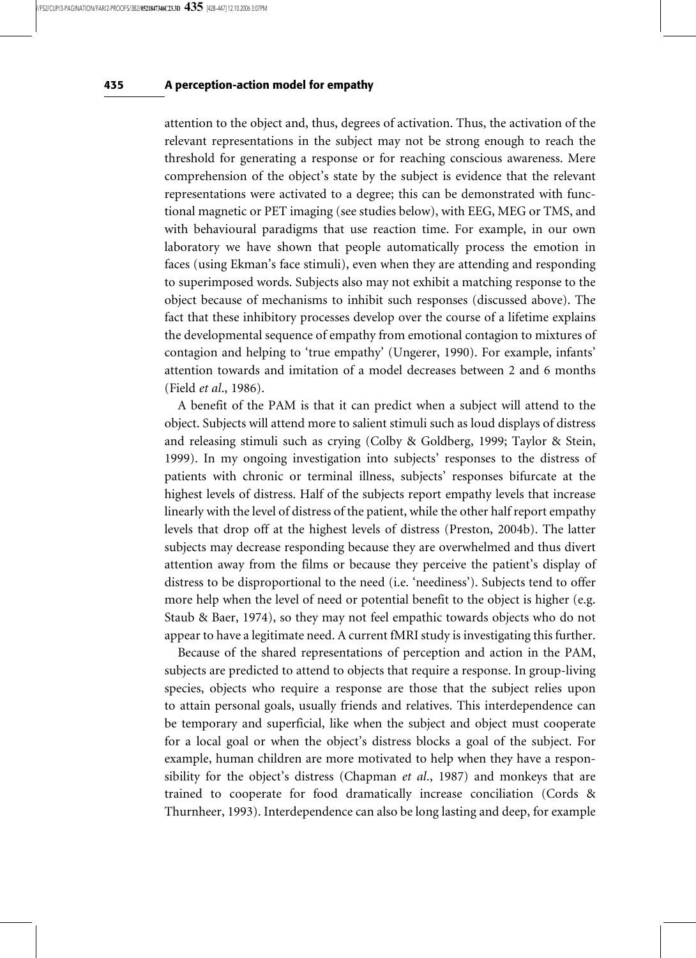attention to the object and, thus, degrees of activation. Thus, the activation of the relevant representations in the subject may not be strong enough to reach the threshold for generating a response or for reaching conscious awareness. Mere comprehension of the object's state by the subject is evidence that the relevant representations were activated to a degree; this can be demonstrated with functional magnetic or PET imaging (see studies below), with EEG, MEG or TMS, and with behavioural paradigms that use reaction time. For example, in our own laboratory we have shown that people automatically process the emotion in faces (using Ekman's face stimuli), even when they are attending and responding to superimposed words. Subjects also may not exhibit a matching response to the object because of mechanisms to inhibit such responses (discussed above). The fact that these inhibitory processes develop over the course of a lifetime explains the developmental sequence of empathy from emotional contagion to mixtures of contagion and helping to 'true empathy' (Ungerer, 1990). For example, infants' attention towards and imitation of a model decreases between 2 and 6 months (Field et al., 1986).

A benefit of the PAM is that it can predict when a subject will attend to the object. Subjects will attend more to salient stimuli such as loud displays of distress and releasing stimuli such as crying (Colby & Goldberg, 1999; Taylor & Stein, 1999). In my ongoing investigation into subjects' responses to the distress of patients with chronic or terminal illness, subjects' responses bifurcate at the highest levels of distress. Half of the subjects report empathy levels that increase linearly with the level of distress of the patient, while the other half report empathy levels that drop off at the highest levels of distress (Preston, 2004b). The latter subjects may decrease responding because they are overwhelmed and thus divert attention away from the films or because they perceive the patient's display of distress to be disproportional to the need (i.e. 'neediness'). Subjects tend to offer more help when the level of need or potential benefit to the object is higher (e.g. Staub & Baer, 1974), so they may not feel empathic towards objects who do not appear to have a legitimate need. A current fMRI study is investigating this further.

Because of the shared representations of perception and action in the PAM, subjects are predicted to attend to objects that require a response. In group-living species, objects who require a response are those that the subject relies upon to attain personal goals, usually friends and relatives. This interdependence can be temporary and superficial, like when the subject and object must cooperate for a local goal or when the object's distress blocks a goal of the subject. For example, human children are more motivated to help when they have a responsibility for the object's distress (Chapman *et al.*, 1987) and monkeys that are trained to cooperate for food dramatically increase conciliation (Cords & Thurnheer, 1993). Interdependence can also be long lasting and deep, for example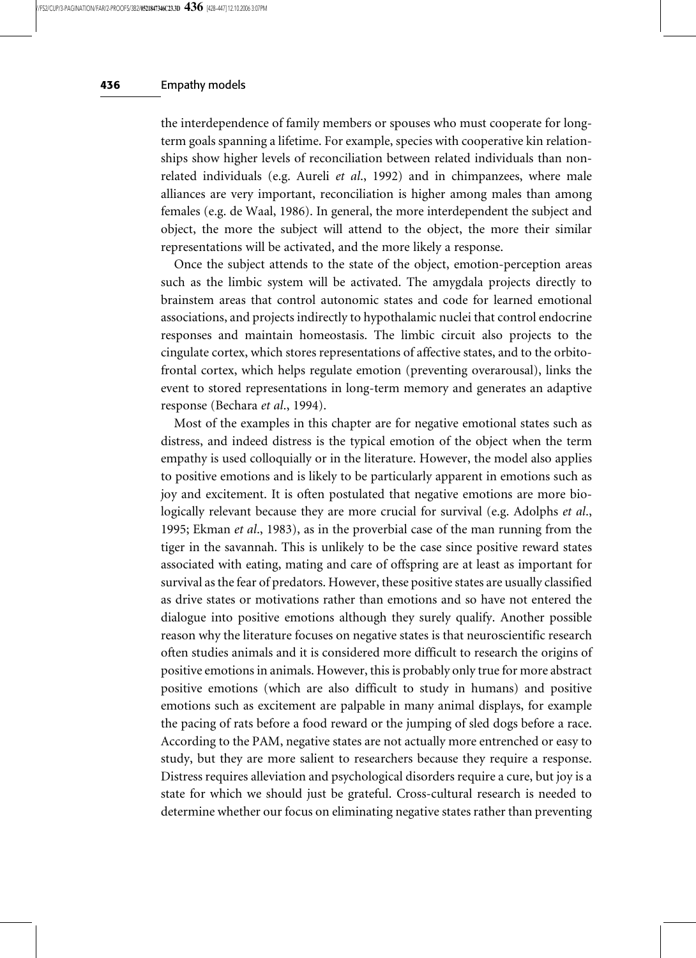the interdependence of family members or spouses who must cooperate for longterm goals spanning a lifetime. For example, species with cooperative kin relationships show higher levels of reconciliation between related individuals than nonrelated individuals (e.g. Aureli et al., 1992) and in chimpanzees, where male alliances are very important, reconciliation is higher among males than among females (e.g. de Waal, 1986). In general, the more interdependent the subject and object, the more the subject will attend to the object, the more their similar representations will be activated, and the more likely a response.

Once the subject attends to the state of the object, emotion-perception areas such as the limbic system will be activated. The amygdala projects directly to brainstem areas that control autonomic states and code for learned emotional associations, and projects indirectly to hypothalamic nuclei that control endocrine responses and maintain homeostasis. The limbic circuit also projects to the cingulate cortex, which stores representations of affective states, and to the orbitofrontal cortex, which helps regulate emotion (preventing overarousal), links the event to stored representations in long-term memory and generates an adaptive response (Bechara et al., 1994).

Most of the examples in this chapter are for negative emotional states such as distress, and indeed distress is the typical emotion of the object when the term empathy is used colloquially or in the literature. However, the model also applies to positive emotions and is likely to be particularly apparent in emotions such as joy and excitement. It is often postulated that negative emotions are more biologically relevant because they are more crucial for survival (e.g. Adolphs et al., 1995; Ekman et al., 1983), as in the proverbial case of the man running from the tiger in the savannah. This is unlikely to be the case since positive reward states associated with eating, mating and care of offspring are at least as important for survival as the fear of predators. However, these positive states are usually classified as drive states or motivations rather than emotions and so have not entered the dialogue into positive emotions although they surely qualify. Another possible reason why the literature focuses on negative states is that neuroscientific research often studies animals and it is considered more difficult to research the origins of positive emotions in animals. However, this is probably only true for more abstract positive emotions (which are also difficult to study in humans) and positive emotions such as excitement are palpable in many animal displays, for example the pacing of rats before a food reward or the jumping of sled dogs before a race. According to the PAM, negative states are not actually more entrenched or easy to study, but they are more salient to researchers because they require a response. Distress requires alleviation and psychological disorders require a cure, but joy is a state for which we should just be grateful. Cross-cultural research is needed to determine whether our focus on eliminating negative states rather than preventing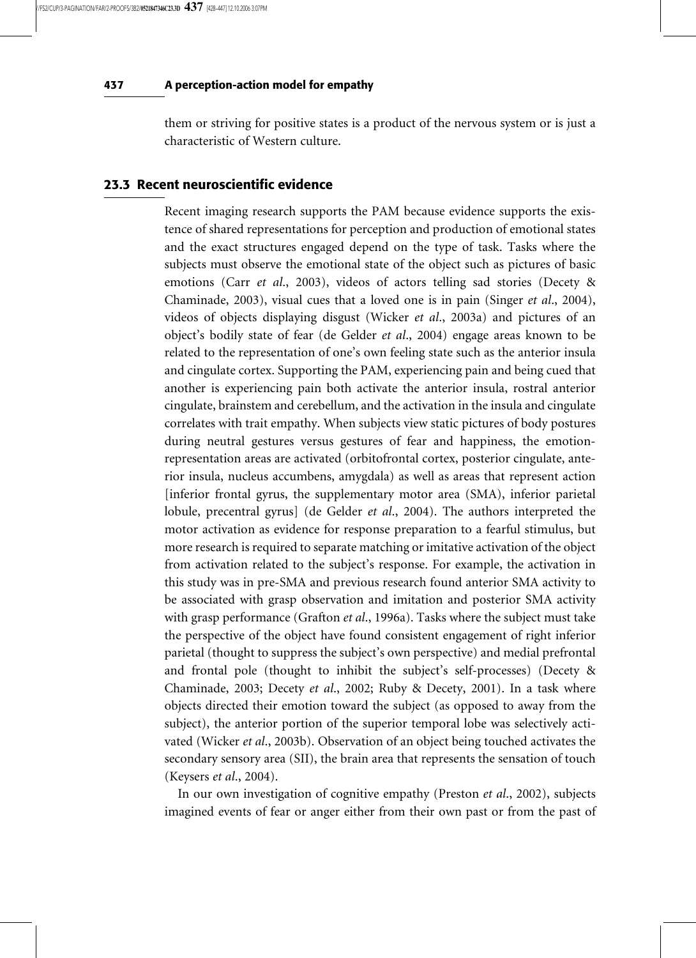them or striving for positive states is a product of the nervous system or is just a characteristic of Western culture.

# 23.3 Recent neuroscientific evidence

Recent imaging research supports the PAM because evidence supports the existence of shared representations for perception and production of emotional states and the exact structures engaged depend on the type of task. Tasks where the subjects must observe the emotional state of the object such as pictures of basic emotions (Carr et al., 2003), videos of actors telling sad stories (Decety & Chaminade, 2003), visual cues that a loved one is in pain (Singer et al., 2004), videos of objects displaying disgust (Wicker et al., 2003a) and pictures of an object's bodily state of fear (de Gelder et al., 2004) engage areas known to be related to the representation of one's own feeling state such as the anterior insula and cingulate cortex. Supporting the PAM, experiencing pain and being cued that another is experiencing pain both activate the anterior insula, rostral anterior cingulate, brainstem and cerebellum, and the activation in the insula and cingulate correlates with trait empathy. When subjects view static pictures of body postures during neutral gestures versus gestures of fear and happiness, the emotionrepresentation areas are activated (orbitofrontal cortex, posterior cingulate, anterior insula, nucleus accumbens, amygdala) as well as areas that represent action [inferior frontal gyrus, the supplementary motor area (SMA), inferior parietal lobule, precentral gyrus] (de Gelder et al., 2004). The authors interpreted the motor activation as evidence for response preparation to a fearful stimulus, but more research is required to separate matching or imitative activation of the object from activation related to the subject's response. For example, the activation in this study was in pre-SMA and previous research found anterior SMA activity to be associated with grasp observation and imitation and posterior SMA activity with grasp performance (Grafton et al., 1996a). Tasks where the subject must take the perspective of the object have found consistent engagement of right inferior parietal (thought to suppress the subject's own perspective) and medial prefrontal and frontal pole (thought to inhibit the subject's self-processes) (Decety & Chaminade, 2003; Decety et al., 2002; Ruby & Decety, 2001). In a task where objects directed their emotion toward the subject (as opposed to away from the subject), the anterior portion of the superior temporal lobe was selectively activated (Wicker et al., 2003b). Observation of an object being touched activates the secondary sensory area (SII), the brain area that represents the sensation of touch (Keysers et al., 2004).

In our own investigation of cognitive empathy (Preston et al., 2002), subjects imagined events of fear or anger either from their own past or from the past of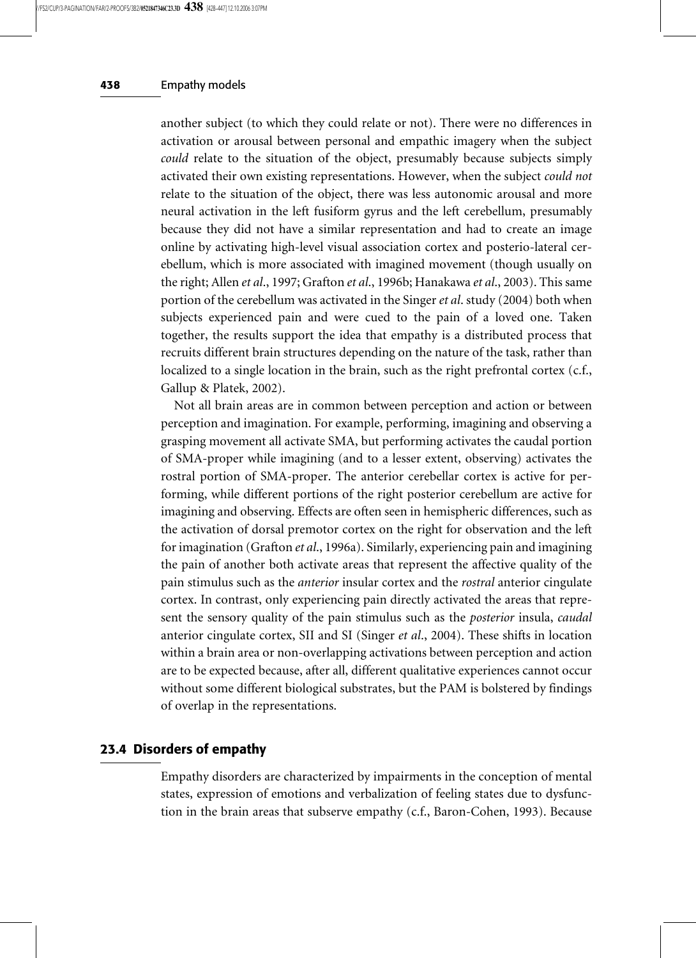another subject (to which they could relate or not). There were no differences in activation or arousal between personal and empathic imagery when the subject could relate to the situation of the object, presumably because subjects simply activated their own existing representations. However, when the subject could not relate to the situation of the object, there was less autonomic arousal and more neural activation in the left fusiform gyrus and the left cerebellum, presumably because they did not have a similar representation and had to create an image online by activating high-level visual association cortex and posterio-lateral cerebellum, which is more associated with imagined movement (though usually on the right; Allen et al., 1997; Grafton et al., 1996b; Hanakawa et al., 2003). This same portion of the cerebellum was activated in the Singer et al. study (2004) both when subjects experienced pain and were cued to the pain of a loved one. Taken together, the results support the idea that empathy is a distributed process that recruits different brain structures depending on the nature of the task, rather than localized to a single location in the brain, such as the right prefrontal cortex (c.f., Gallup & Platek, 2002).

Not all brain areas are in common between perception and action or between perception and imagination. For example, performing, imagining and observing a grasping movement all activate SMA, but performing activates the caudal portion of SMA-proper while imagining (and to a lesser extent, observing) activates the rostral portion of SMA-proper. The anterior cerebellar cortex is active for performing, while different portions of the right posterior cerebellum are active for imagining and observing. Effects are often seen in hemispheric differences, such as the activation of dorsal premotor cortex on the right for observation and the left for imagination (Grafton et al., 1996a). Similarly, experiencing pain and imagining the pain of another both activate areas that represent the affective quality of the pain stimulus such as the anterior insular cortex and the rostral anterior cingulate cortex. In contrast, only experiencing pain directly activated the areas that represent the sensory quality of the pain stimulus such as the posterior insula, caudal anterior cingulate cortex, SII and SI (Singer et al., 2004). These shifts in location within a brain area or non-overlapping activations between perception and action are to be expected because, after all, different qualitative experiences cannot occur without some different biological substrates, but the PAM is bolstered by findings of overlap in the representations.

# 23.4 Disorders of empathy

Empathy disorders are characterized by impairments in the conception of mental states, expression of emotions and verbalization of feeling states due to dysfunction in the brain areas that subserve empathy (c.f., Baron-Cohen, 1993). Because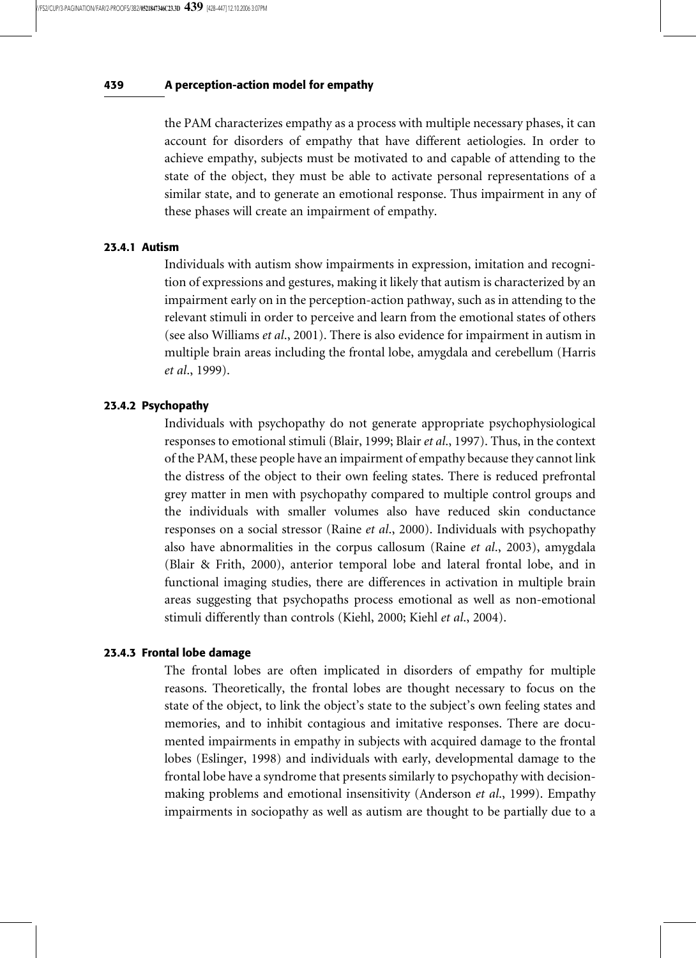the PAM characterizes empathy as a process with multiple necessary phases, it can account for disorders of empathy that have different aetiologies. In order to achieve empathy, subjects must be motivated to and capable of attending to the state of the object, they must be able to activate personal representations of a similar state, and to generate an emotional response. Thus impairment in any of these phases will create an impairment of empathy.

## 23.4.1 Autism

Individuals with autism show impairments in expression, imitation and recognition of expressions and gestures, making it likely that autism is characterized by an impairment early on in the perception-action pathway, such as in attending to the relevant stimuli in order to perceive and learn from the emotional states of others (see also Williams et al., 2001). There is also evidence for impairment in autism in multiple brain areas including the frontal lobe, amygdala and cerebellum (Harris et al., 1999).

## 23.4.2 Psychopathy

Individuals with psychopathy do not generate appropriate psychophysiological responses to emotional stimuli (Blair, 1999; Blair et al., 1997). Thus, in the context of the PAM, these people have an impairment of empathy because they cannot link the distress of the object to their own feeling states. There is reduced prefrontal grey matter in men with psychopathy compared to multiple control groups and the individuals with smaller volumes also have reduced skin conductance responses on a social stressor (Raine et al., 2000). Individuals with psychopathy also have abnormalities in the corpus callosum (Raine et al., 2003), amygdala (Blair & Frith, 2000), anterior temporal lobe and lateral frontal lobe, and in functional imaging studies, there are differences in activation in multiple brain areas suggesting that psychopaths process emotional as well as non-emotional stimuli differently than controls (Kiehl, 2000; Kiehl et al., 2004).

### 23.4.3 Frontal lobe damage

The frontal lobes are often implicated in disorders of empathy for multiple reasons. Theoretically, the frontal lobes are thought necessary to focus on the state of the object, to link the object's state to the subject's own feeling states and memories, and to inhibit contagious and imitative responses. There are documented impairments in empathy in subjects with acquired damage to the frontal lobes (Eslinger, 1998) and individuals with early, developmental damage to the frontal lobe have a syndrome that presents similarly to psychopathy with decisionmaking problems and emotional insensitivity (Anderson et al., 1999). Empathy impairments in sociopathy as well as autism are thought to be partially due to a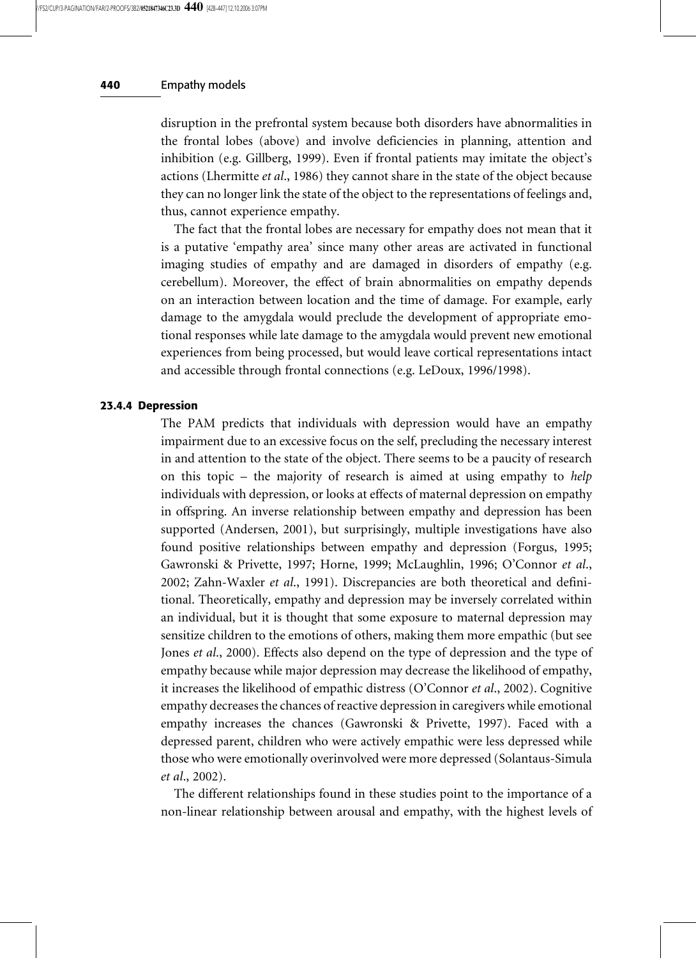disruption in the prefrontal system because both disorders have abnormalities in the frontal lobes (above) and involve deficiencies in planning, attention and inhibition (e.g. Gillberg, 1999). Even if frontal patients may imitate the object's actions (Lhermitte et al., 1986) they cannot share in the state of the object because they can no longer link the state of the object to the representations of feelings and, thus, cannot experience empathy.

The fact that the frontal lobes are necessary for empathy does not mean that it is a putative 'empathy area' since many other areas are activated in functional imaging studies of empathy and are damaged in disorders of empathy (e.g. cerebellum). Moreover, the effect of brain abnormalities on empathy depends on an interaction between location and the time of damage. For example, early damage to the amygdala would preclude the development of appropriate emotional responses while late damage to the amygdala would prevent new emotional experiences from being processed, but would leave cortical representations intact and accessible through frontal connections (e.g. LeDoux, 1996/1998).

### 23.4.4 Depression

The PAM predicts that individuals with depression would have an empathy impairment due to an excessive focus on the self, precluding the necessary interest in and attention to the state of the object. There seems to be a paucity of research on this topic – the majority of research is aimed at using empathy to help individuals with depression, or looks at effects of maternal depression on empathy in offspring. An inverse relationship between empathy and depression has been supported (Andersen, 2001), but surprisingly, multiple investigations have also found positive relationships between empathy and depression (Forgus, 1995; Gawronski & Privette, 1997; Horne, 1999; McLaughlin, 1996; O'Connor et al., 2002; Zahn-Waxler et al., 1991). Discrepancies are both theoretical and definitional. Theoretically, empathy and depression may be inversely correlated within an individual, but it is thought that some exposure to maternal depression may sensitize children to the emotions of others, making them more empathic (but see Jones et al., 2000). Effects also depend on the type of depression and the type of empathy because while major depression may decrease the likelihood of empathy, it increases the likelihood of empathic distress (O'Connor et al., 2002). Cognitive empathy decreases the chances of reactive depression in caregivers while emotional empathy increases the chances (Gawronski & Privette, 1997). Faced with a depressed parent, children who were actively empathic were less depressed while those who were emotionally overinvolved were more depressed (Solantaus-Simula et al., 2002).

The different relationships found in these studies point to the importance of a non-linear relationship between arousal and empathy, with the highest levels of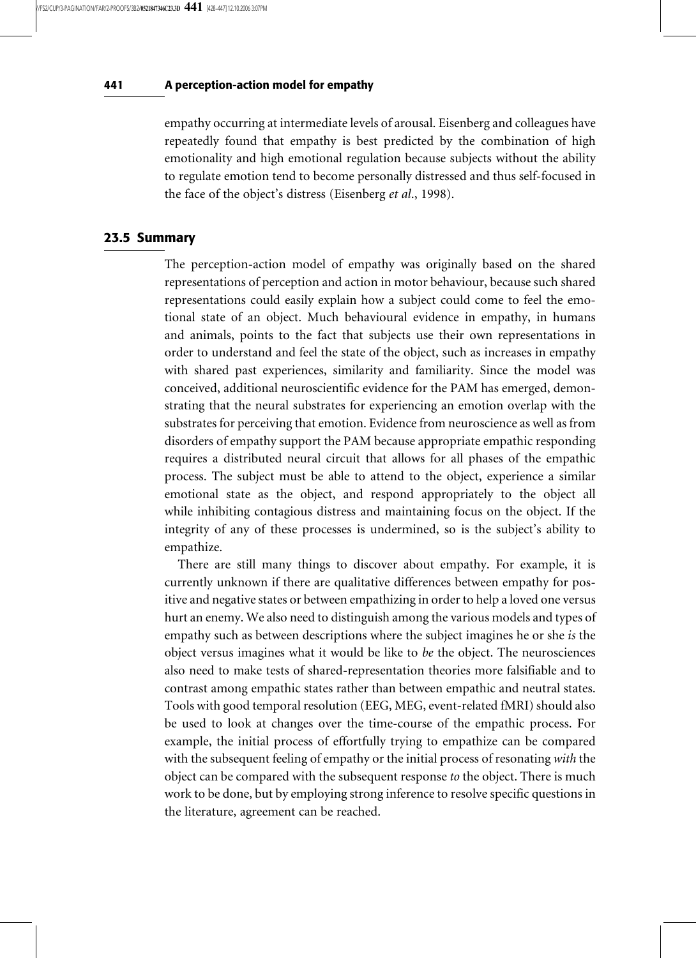empathy occurring at intermediate levels of arousal. Eisenberg and colleagues have repeatedly found that empathy is best predicted by the combination of high emotionality and high emotional regulation because subjects without the ability to regulate emotion tend to become personally distressed and thus self-focused in the face of the object's distress (Eisenberg et al., 1998).

# 23.5 Summary

The perception-action model of empathy was originally based on the shared representations of perception and action in motor behaviour, because such shared representations could easily explain how a subject could come to feel the emotional state of an object. Much behavioural evidence in empathy, in humans and animals, points to the fact that subjects use their own representations in order to understand and feel the state of the object, such as increases in empathy with shared past experiences, similarity and familiarity. Since the model was conceived, additional neuroscientific evidence for the PAM has emerged, demonstrating that the neural substrates for experiencing an emotion overlap with the substrates for perceiving that emotion. Evidence from neuroscience as well as from disorders of empathy support the PAM because appropriate empathic responding requires a distributed neural circuit that allows for all phases of the empathic process. The subject must be able to attend to the object, experience a similar emotional state as the object, and respond appropriately to the object all while inhibiting contagious distress and maintaining focus on the object. If the integrity of any of these processes is undermined, so is the subject's ability to empathize.

There are still many things to discover about empathy. For example, it is currently unknown if there are qualitative differences between empathy for positive and negative states or between empathizing in order to help a loved one versus hurt an enemy. We also need to distinguish among the various models and types of empathy such as between descriptions where the subject imagines he or she is the object versus imagines what it would be like to be the object. The neurosciences also need to make tests of shared-representation theories more falsifiable and to contrast among empathic states rather than between empathic and neutral states. Tools with good temporal resolution (EEG, MEG, event-related fMRI) should also be used to look at changes over the time-course of the empathic process. For example, the initial process of effortfully trying to empathize can be compared with the subsequent feeling of empathy or the initial process of resonating with the object can be compared with the subsequent response to the object. There is much work to be done, but by employing strong inference to resolve specific questions in the literature, agreement can be reached.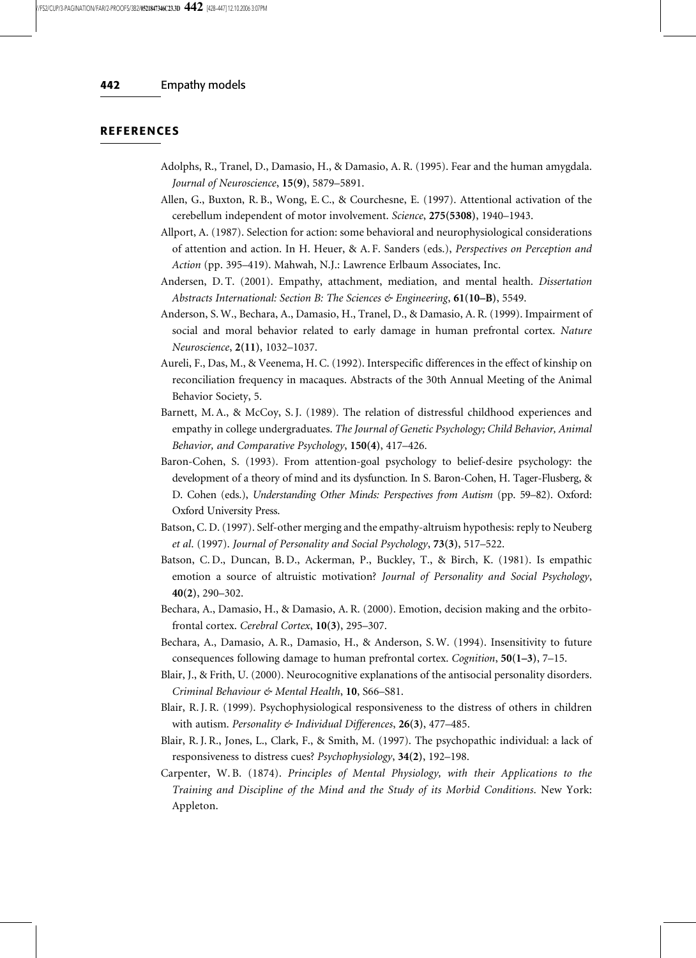# **REFERENCES**

- Adolphs, R., Tranel, D., Damasio, H., & Damasio, A. R. (1995). Fear and the human amygdala. Journal of Neuroscience, 15(9), 5879–5891.
- Allen, G., Buxton, R. B., Wong, E. C., & Courchesne, E. (1997). Attentional activation of the cerebellum independent of motor involvement. Science, 275(5308), 1940–1943.
- Allport, A. (1987). Selection for action: some behavioral and neurophysiological considerations of attention and action. In H. Heuer, & A. F. Sanders (eds.), Perspectives on Perception and Action (pp. 395–419). Mahwah, N.J.: Lawrence Erlbaum Associates, Inc.
- Andersen, D.T. (2001). Empathy, attachment, mediation, and mental health. Dissertation Abstracts International: Section B: The Sciences & Engineering, 61(10-B), 5549.
- Anderson, S. W., Bechara, A., Damasio, H., Tranel, D., & Damasio, A. R. (1999). Impairment of social and moral behavior related to early damage in human prefrontal cortex. Nature Neuroscience, 2(11), 1032–1037.
- Aureli, F., Das, M., & Veenema, H. C. (1992). Interspecific differences in the effect of kinship on reconciliation frequency in macaques. Abstracts of the 30th Annual Meeting of the Animal Behavior Society, 5.
- Barnett, M. A., & McCoy, S. J. (1989). The relation of distressful childhood experiences and empathy in college undergraduates. The Journal of Genetic Psychology; Child Behavior, Animal Behavior, and Comparative Psychology, 150(4), 417–426.
- Baron-Cohen, S. (1993). From attention-goal psychology to belief-desire psychology: the development of a theory of mind and its dysfunction. In S. Baron-Cohen, H. Tager-Flusberg, & D. Cohen (eds.), Understanding Other Minds: Perspectives from Autism (pp. 59–82). Oxford: Oxford University Press.
- Batson, C. D.(1997). Self-other merging and the empathy-altruism hypothesis: reply to Neuberg et al. (1997). Journal of Personality and Social Psychology, 73(3), 517–522.
- Batson, C. D., Duncan, B. D., Ackerman, P., Buckley, T., & Birch, K. (1981). Is empathic emotion a source of altruistic motivation? Journal of Personality and Social Psychology, 40(2), 290–302.
- Bechara, A., Damasio, H., & Damasio, A. R. (2000). Emotion, decision making and the orbitofrontal cortex. Cerebral Cortex, 10(3), 295–307.
- Bechara, A., Damasio, A. R., Damasio, H., & Anderson, S. W. (1994). Insensitivity to future consequences following damage to human prefrontal cortex. Cognition, 50(1–3), 7–15.
- Blair, J., & Frith, U. (2000). Neurocognitive explanations of the antisocial personality disorders. Criminal Behaviour & Mental Health, 10, S66–S81.
- Blair, R. J. R. (1999). Psychophysiological responsiveness to the distress of others in children with autism. Personality & Individual Differences, 26(3), 477-485.
- Blair, R. J. R., Jones, L., Clark, F., & Smith, M. (1997). The psychopathic individual: a lack of responsiveness to distress cues? Psychophysiology, 34(2), 192–198.
- Carpenter, W. B. (1874). Principles of Mental Physiology, with their Applications to the Training and Discipline of the Mind and the Study of its Morbid Conditions. New York: Appleton.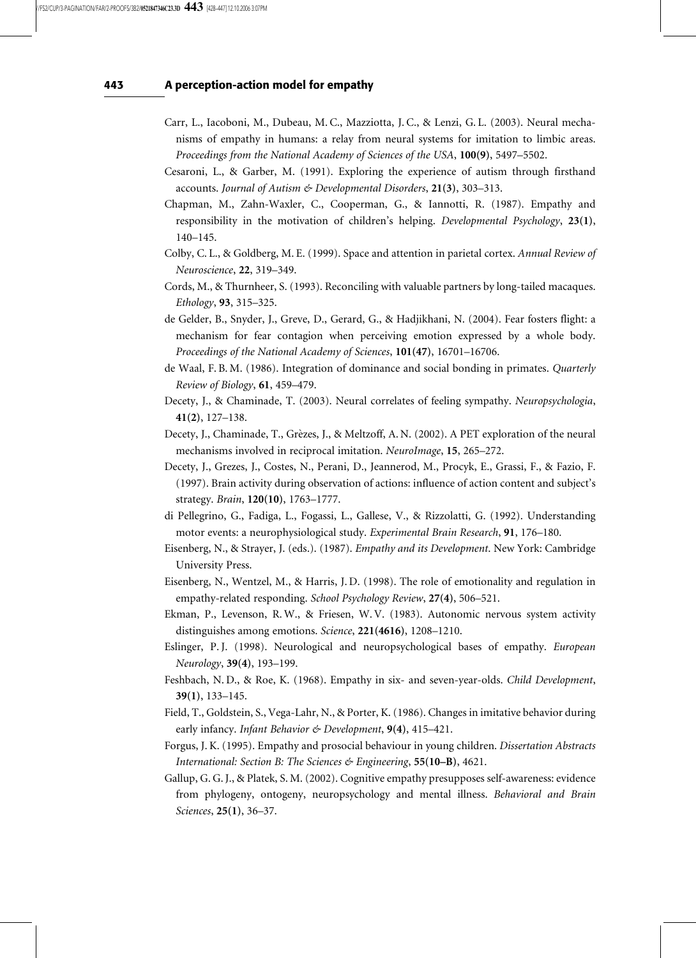- Carr, L., Iacoboni, M., Dubeau, M. C., Mazziotta, J. C., & Lenzi, G. L. (2003). Neural mechanisms of empathy in humans: a relay from neural systems for imitation to limbic areas. Proceedings from the National Academy of Sciences of the USA, 100(9), 5497–5502.
- Cesaroni, L., & Garber, M. (1991). Exploring the experience of autism through firsthand accounts. Journal of Autism & Developmental Disorders, 21(3), 303–313.
- Chapman, M., Zahn-Waxler, C., Cooperman, G., & Iannotti, R. (1987). Empathy and responsibility in the motivation of children's helping. Developmental Psychology, 23(1), 140–145.
- Colby, C. L., & Goldberg, M. E. (1999). Space and attention in parietal cortex. Annual Review of Neuroscience, 22, 319–349.
- Cords, M., & Thurnheer, S. (1993). Reconciling with valuable partners by long-tailed macaques. Ethology, 93, 315–325.
- de Gelder, B., Snyder, J., Greve, D., Gerard, G., & Hadjikhani, N. (2004). Fear fosters flight: a mechanism for fear contagion when perceiving emotion expressed by a whole body. Proceedings of the National Academy of Sciences, 101(47), 16701–16706.
- de Waal, F. B. M. (1986). Integration of dominance and social bonding in primates. Quarterly Review of Biology, 61, 459–479.
- Decety, J., & Chaminade, T. (2003). Neural correlates of feeling sympathy. Neuropsychologia, 41(2), 127–138.
- Decety, J., Chaminade, T., Grèzes, J., & Meltzoff, A. N. (2002). A PET exploration of the neural mechanisms involved in reciprocal imitation. NeuroImage, 15, 265–272.
- Decety, J., Grezes, J., Costes, N., Perani, D., Jeannerod, M., Procyk, E., Grassi, F., & Fazio, F. (1997). Brain activity during observation of actions: influence of action content and subject's strategy. Brain, 120(10), 1763–1777.
- di Pellegrino, G., Fadiga, L., Fogassi, L., Gallese, V., & Rizzolatti, G. (1992). Understanding motor events: a neurophysiological study. Experimental Brain Research, 91, 176–180.
- Eisenberg, N., & Strayer, J. (eds.). (1987). Empathy and its Development. New York: Cambridge University Press.
- Eisenberg, N., Wentzel, M., & Harris, J. D. (1998). The role of emotionality and regulation in empathy-related responding. School Psychology Review, 27(4), 506–521.
- Ekman, P., Levenson, R. W., & Friesen, W. V. (1983). Autonomic nervous system activity distinguishes among emotions. Science, 221(4616), 1208–1210.
- Eslinger, P.J. (1998). Neurological and neuropsychological bases of empathy. European Neurology, 39(4), 193–199.
- Feshbach, N. D., & Roe, K. (1968). Empathy in six- and seven-year-olds. Child Development, 39(1), 133–145.
- Field, T., Goldstein, S., Vega-Lahr, N., & Porter, K. (1986). Changes in imitative behavior during early infancy. Infant Behavior & Development, 9(4), 415-421.
- Forgus, J. K. (1995). Empathy and prosocial behaviour in young children. Dissertation Abstracts International: Section B: The Sciences & Engineering, 55(10–B), 4621.
- Gallup, G.G.J., & Platek, S. M. (2002). Cognitive empathy presupposes self-awareness: evidence from phylogeny, ontogeny, neuropsychology and mental illness. Behavioral and Brain Sciences, 25(1), 36–37.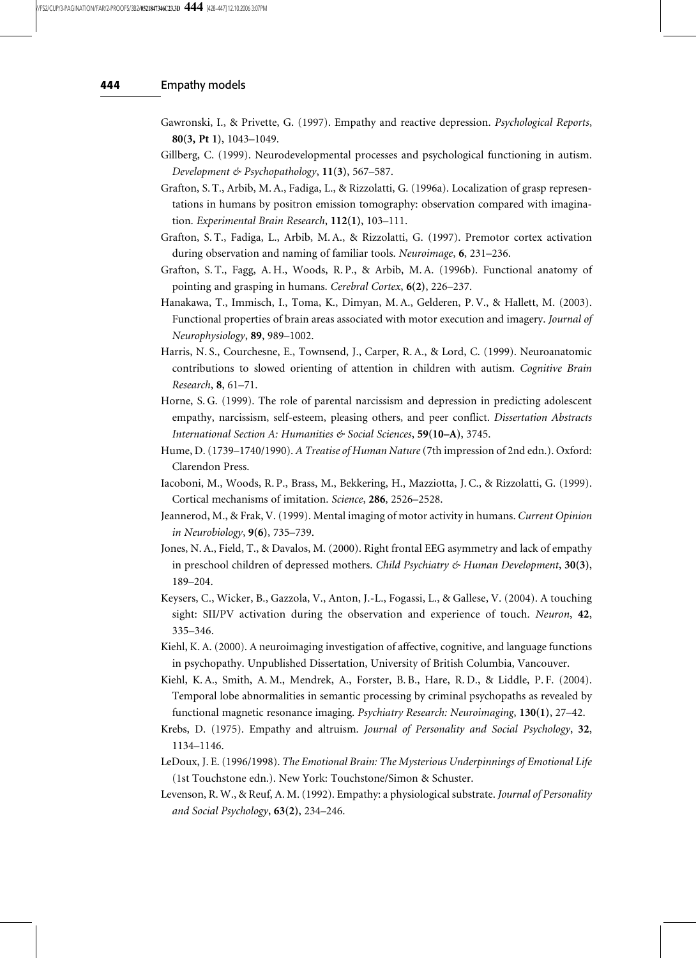- Gawronski, I., & Privette, G. (1997). Empathy and reactive depression. Psychological Reports, 80(3, Pt 1), 1043–1049.
- Gillberg, C. (1999). Neurodevelopmental processes and psychological functioning in autism. Development & Psychopathology, 11(3), 567–587.
- Grafton, S. T., Arbib, M. A., Fadiga, L., & Rizzolatti, G. (1996a). Localization of grasp representations in humans by positron emission tomography: observation compared with imagination. Experimental Brain Research, 112(1), 103–111.
- Grafton, S. T., Fadiga, L., Arbib, M. A., & Rizzolatti, G. (1997). Premotor cortex activation during observation and naming of familiar tools. Neuroimage, 6, 231–236.
- Grafton, S. T., Fagg, A. H., Woods, R. P., & Arbib, M. A. (1996b). Functional anatomy of pointing and grasping in humans. Cerebral Cortex, 6(2), 226–237.
- Hanakawa, T., Immisch, I., Toma, K., Dimyan, M. A., Gelderen, P.V., & Hallett, M. (2003). Functional properties of brain areas associated with motor execution and imagery. Journal of Neurophysiology, 89, 989–1002.
- Harris, N. S., Courchesne, E., Townsend, J., Carper, R. A., & Lord, C. (1999). Neuroanatomic contributions to slowed orienting of attention in children with autism. Cognitive Brain Research, 8, 61–71.
- Horne, S.G. (1999). The role of parental narcissism and depression in predicting adolescent empathy, narcissism, self-esteem, pleasing others, and peer conflict. Dissertation Abstracts International Section A: Humanities & Social Sciences, 59(10-A), 3745.
- Hume, D.(1739–1740/1990). A Treatise of Human Nature(7th impression of 2nd edn.). Oxford: Clarendon Press.
- Iacoboni, M., Woods, R. P., Brass, M., Bekkering, H., Mazziotta, J. C., & Rizzolatti, G. (1999). Cortical mechanisms of imitation. Science, 286, 2526–2528.
- Jeannerod, M., & Frak, V. (1999). Mental imaging of motor activity in humans. Current Opinion in Neurobiology, 9(6), 735–739.
- Jones, N. A., Field, T., & Davalos, M. (2000). Right frontal EEG asymmetry and lack of empathy in preschool children of depressed mothers. Child Psychiatry & Human Development,  $30(3)$ , 189–204.
- Keysers, C., Wicker, B., Gazzola, V., Anton, J.-L., Fogassi, L., & Gallese, V. (2004). A touching sight: SII/PV activation during the observation and experience of touch. Neuron, 42, 335–346.
- Kiehl, K. A. (2000). A neuroimaging investigation of affective, cognitive, and language functions in psychopathy. Unpublished Dissertation, University of British Columbia, Vancouver.
- Kiehl, K. A., Smith, A. M., Mendrek, A., Forster, B. B., Hare, R. D., & Liddle, P. F. (2004). Temporal lobe abnormalities in semantic processing by criminal psychopaths as revealed by functional magnetic resonance imaging. Psychiatry Research: Neuroimaging, 130(1), 27–42.
- Krebs, D. (1975). Empathy and altruism. Journal of Personality and Social Psychology, 32, 1134–1146.
- LeDoux, J. E. (1996/1998). The Emotional Brain: The Mysterious Underpinnings of Emotional Life (1st Touchstone edn.). New York: Touchstone/Simon & Schuster.
- Levenson, R. W., & Reuf, A. M.(1992). Empathy: a physiological substrate. Journal of Personality and Social Psychology, 63(2), 234–246.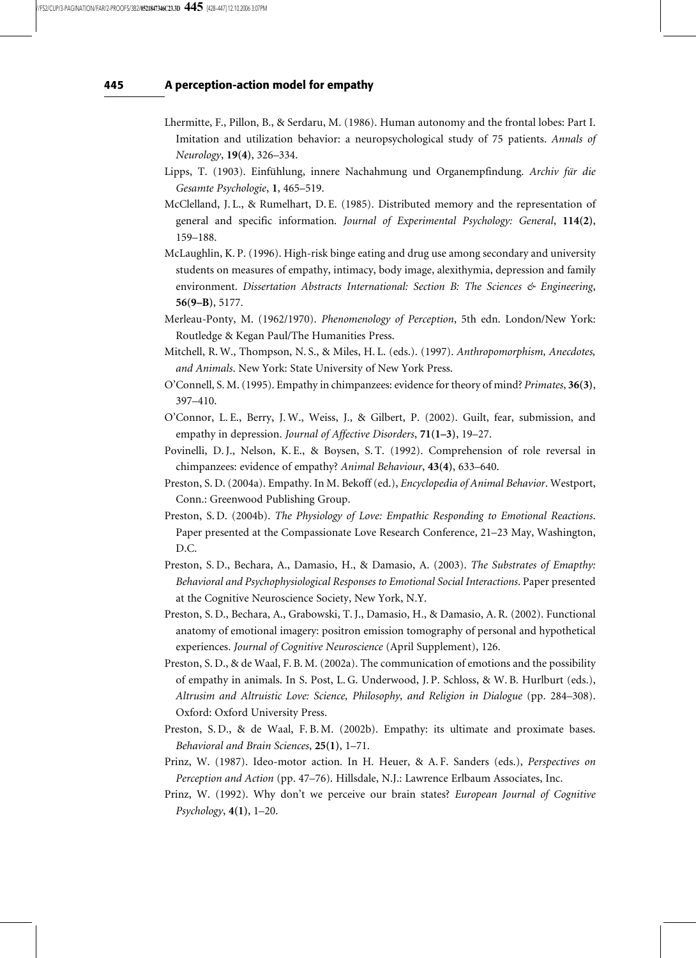- Lhermitte, F., Pillon, B., & Serdaru, M. (1986). Human autonomy and the frontal lobes: Part I. Imitation and utilization behavior: a neuropsychological study of 75 patients. Annals of Neurology, 19(4), 326–334.
- Lipps, T. (1903). Einfühlung, innere Nachahmung und Organempfindung. Archiv für die Gesamte Psychologie, 1, 465–519.
- McClelland, J. L., & Rumelhart, D. E. (1985). Distributed memory and the representation of general and specific information. Journal of Experimental Psychology: General, 114(2), 159–188.
- McLaughlin, K. P. (1996). High-risk binge eating and drug use among secondary and university students on measures of empathy, intimacy, body image, alexithymia, depression and family environment. Dissertation Abstracts International: Section B: The Sciences & Engineering, 56(9–B), 5177.
- Merleau-Ponty, M. (1962/1970). Phenomenology of Perception, 5th edn. London/New York: Routledge & Kegan Paul/The Humanities Press.
- Mitchell, R. W., Thompson, N. S., & Miles, H. L. (eds.). (1997). Anthropomorphism, Anecdotes, and Animals. New York: State University of New York Press.
- O'Connell, S. M.(1995). Empathy in chimpanzees: evidence for theory of mind? Primates, 36(3), 397–410.
- O'Connor, L. E., Berry, J. W., Weiss, J., & Gilbert, P. (2002). Guilt, fear, submission, and empathy in depression. *Journal of Affective Disorders*, 71(1-3), 19-27.
- Povinelli, D.J., Nelson, K. E., & Boysen, S. T. (1992). Comprehension of role reversal in chimpanzees: evidence of empathy? Animal Behaviour, 43(4), 633-640.
- Preston, S. D. (2004a). Empathy. In M. Bekoff (ed.), Encyclopedia of Animal Behavior. Westport, Conn.: Greenwood Publishing Group.
- Preston, S. D. (2004b). The Physiology of Love: Empathic Responding to Emotional Reactions. Paper presented at the Compassionate Love Research Conference, 21–23 May, Washington, D.C.
- Preston, S. D., Bechara, A., Damasio, H., & Damasio, A. (2003). The Substrates of Emapthy: Behavioral and Psychophysiological Responses to Emotional Social Interactions. Paper presented at the Cognitive Neuroscience Society, New York, N.Y.
- Preston, S. D., Bechara, A., Grabowski, T. J., Damasio, H., & Damasio, A. R. (2002). Functional anatomy of emotional imagery: positron emission tomography of personal and hypothetical experiences. Journal of Cognitive Neuroscience (April Supplement), 126.
- Preston, S. D., & de Waal, F. B. M. (2002a). The communication of emotions and the possibility of empathy in animals. In S. Post, L.G. Underwood, J. P. Schloss, & W. B. Hurlburt (eds.), Altrusim and Altruistic Love: Science, Philosophy, and Religion in Dialogue (pp. 284–308). Oxford: Oxford University Press.
- Preston, S.D., & de Waal, F.B.M. (2002b). Empathy: its ultimate and proximate bases. Behavioral and Brain Sciences, 25(1), 1–71.
- Prinz, W. (1987). Ideo-motor action. In H. Heuer, & A.F. Sanders (eds.), Perspectives on Perception and Action (pp. 47–76). Hillsdale, N.J.: Lawrence Erlbaum Associates, Inc.
- Prinz, W. (1992). Why don't we perceive our brain states? European Journal of Cognitive Psychology, 4(1), 1–20.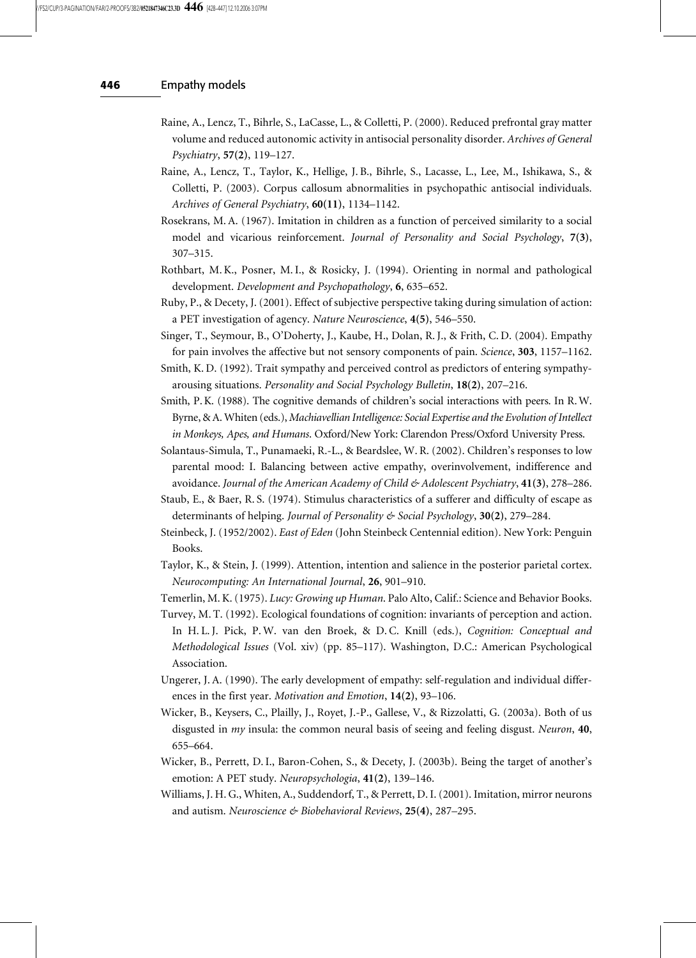- Raine, A., Lencz, T., Bihrle, S., LaCasse, L., & Colletti, P. (2000). Reduced prefrontal gray matter volume and reduced autonomic activity in antisocial personality disorder. Archives of General Psychiatry, 57(2), 119–127.
- Raine, A., Lencz, T., Taylor, K., Hellige, J. B., Bihrle, S., Lacasse, L., Lee, M., Ishikawa, S., & Colletti, P. (2003). Corpus callosum abnormalities in psychopathic antisocial individuals. Archives of General Psychiatry, 60(11), 1134–1142.
- Rosekrans, M. A. (1967). Imitation in children as a function of perceived similarity to a social model and vicarious reinforcement. Journal of Personality and Social Psychology, 7(3), 307–315.
- Rothbart, M.K., Posner, M. I., & Rosicky, J. (1994). Orienting in normal and pathological development. Development and Psychopathology, 6, 635–652.
- Ruby, P., & Decety, J. (2001). Effect of subjective perspective taking during simulation of action: a PET investigation of agency. Nature Neuroscience, 4(5), 546–550.
- Singer, T., Seymour, B., O'Doherty, J., Kaube, H., Dolan, R. J., & Frith, C. D. (2004). Empathy for pain involves the affective but not sensory components of pain. Science, 303, 1157–1162.
- Smith, K. D. (1992). Trait sympathy and perceived control as predictors of entering sympathyarousing situations. Personality and Social Psychology Bulletin, 18(2), 207–216.
- Smith, P.K. (1988). The cognitive demands of children's social interactions with peers. In R.W. Byrne,&A. Whiten (eds.), Machiavellian Intelligence: Social Expertise and the Evolution ofIntellect in Monkeys, Apes, and Humans. Oxford/New York: Clarendon Press/Oxford University Press.
- Solantaus-Simula, T., Punamaeki, R.-L., & Beardslee, W. R. (2002). Children's responses to low parental mood: I. Balancing between active empathy, overinvolvement, indifference and avoidance. Journal of the American Academy of Child & Adolescent Psychiatry, 41(3), 278–286.
- Staub, E., & Baer, R. S. (1974). Stimulus characteristics of a sufferer and difficulty of escape as determinants of helping. Journal of Personality & Social Psychology, 30(2), 279–284.
- Steinbeck, J. (1952/2002). East of Eden (John Steinbeck Centennial edition). New York: Penguin Books.
- Taylor, K., & Stein, J. (1999). Attention, intention and salience in the posterior parietal cortex. Neurocomputing: An International Journal, 26, 901–910.
- Temerlin, M. K.(1975). Lucy: Growing up Human. Palo Alto, Calif.: Science and Behavior Books.
- Turvey, M. T. (1992). Ecological foundations of cognition: invariants of perception and action. In H. L.J. Pick, P. W. van den Broek, & D. C. Knill (eds.), Cognition: Conceptual and Methodological Issues (Vol. xiv) (pp. 85–117). Washington, D.C.: American Psychological Association.
- Ungerer, J. A. (1990). The early development of empathy: self-regulation and individual differences in the first year. Motivation and Emotion, 14(2), 93–106.
- Wicker, B., Keysers, C., Plailly, J., Royet, J.-P., Gallese, V., & Rizzolatti, G. (2003a). Both of us disgusted in *my* insula: the common neural basis of seeing and feeling disgust. Neuron, 40, 655–664.
- Wicker, B., Perrett, D.I., Baron-Cohen, S., & Decety, J. (2003b). Being the target of another's emotion: A PET study. Neuropsychologia, 41(2), 139-146.
- Williams, J. H.G., Whiten, A., Suddendorf, T., & Perrett, D. I.(2001). Imitation, mirror neurons and autism. Neuroscience & Biobehavioral Reviews, 25(4), 287-295.